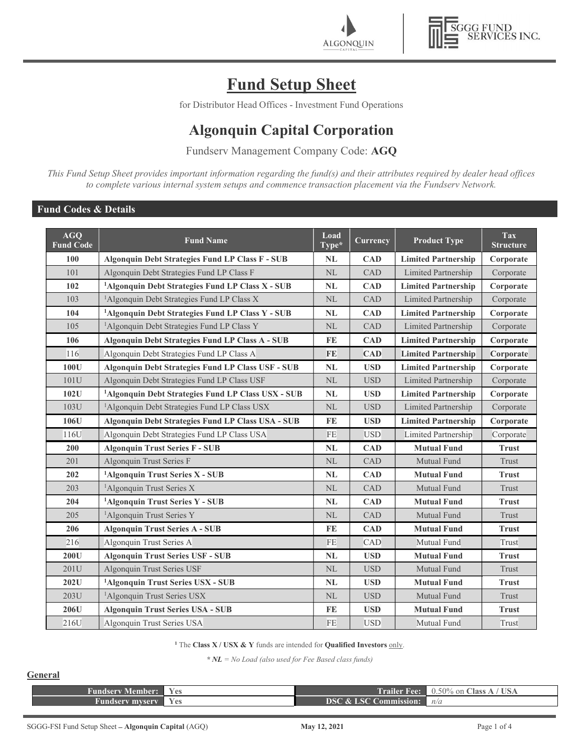



# Fund Setup Sheet

for Distributor Head Offices - Investment Fund Operations

# Algonquin Capital Corporation

Fundserv Management Company Code: AGQ

This Fund Setup Sheet provides important information regarding the fund(s) and their attributes required by dealer head offices to complete various internal system setups and commence transaction placement via the Fundserv Network.

# Fund Codes & Details

| <b>AGQ</b><br><b>Fund Code</b> | <b>Fund Name</b>                                               | Load<br>$\overline{\text{Type*}}$ | Currency   | <b>Product Type</b>        | <b>Tax</b><br><b>Structure</b> |
|--------------------------------|----------------------------------------------------------------|-----------------------------------|------------|----------------------------|--------------------------------|
| <b>100</b>                     | <b>Algonquin Debt Strategies Fund LP Class F - SUB</b>         | NL                                | <b>CAD</b> | <b>Limited Partnership</b> | Corporate                      |
| 101                            | Algonquin Debt Strategies Fund LP Class F                      | NL                                | CAD        | Limited Partnership        | Corporate                      |
| 102                            | <sup>1</sup> Algonquin Debt Strategies Fund LP Class X - SUB   | <b>NL</b>                         | <b>CAD</b> | <b>Limited Partnership</b> | Corporate                      |
| 103                            | <sup>1</sup> Algonquin Debt Strategies Fund LP Class X         | NL                                | CAD        | Limited Partnership        | Corporate                      |
| 104                            | <sup>1</sup> Algonquin Debt Strategies Fund LP Class Y - SUB   | NL                                | <b>CAD</b> | <b>Limited Partnership</b> | Corporate                      |
| 105                            | <sup>1</sup> Algonquin Debt Strategies Fund LP Class Y         | NL                                | CAD        | Limited Partnership        | Corporate                      |
| 106                            | <b>Algonquin Debt Strategies Fund LP Class A - SUB</b>         | FE                                | <b>CAD</b> | <b>Limited Partnership</b> | Corporate                      |
| 116                            | Algonquin Debt Strategies Fund LP Class A                      | <b>FE</b>                         | <b>CAD</b> | <b>Limited Partnership</b> | Corporate                      |
| 100U                           | <b>Algonquin Debt Strategies Fund LP Class USF - SUB</b>       | NL                                | <b>USD</b> | <b>Limited Partnership</b> | Corporate                      |
| 101U                           | Algonquin Debt Strategies Fund LP Class USF                    | NL                                | <b>USD</b> | Limited Partnership        | Corporate                      |
| 102U                           | <sup>1</sup> Algonquin Debt Strategies Fund LP Class USX - SUB | NL                                | <b>USD</b> | <b>Limited Partnership</b> | Corporate                      |
| 103U                           | <sup>1</sup> Algonquin Debt Strategies Fund LP Class USX       | NL                                | <b>USD</b> | Limited Partnership        | Corporate                      |
| 106U                           | Algonquin Debt Strategies Fund LP Class USA - SUB              | FE                                | <b>USD</b> | <b>Limited Partnership</b> | Corporate                      |
| 116U                           | Algonquin Debt Strategies Fund LP Class USA                    | <b>FE</b>                         | <b>USD</b> | Limited Partnership        | Corporate                      |
| 200                            | <b>Algonquin Trust Series F - SUB</b>                          | <b>NL</b>                         | <b>CAD</b> | <b>Mutual Fund</b>         | <b>Trust</b>                   |
| 201                            | Algonquin Trust Series F                                       | NL                                | CAD        | Mutual Fund                | Trust                          |
| 202                            | <sup>1</sup> Algonquin Trust Series X - SUB                    | <b>NL</b>                         | <b>CAD</b> | <b>Mutual Fund</b>         | <b>Trust</b>                   |
| 203                            | <sup>1</sup> Algonquin Trust Series X                          | $\rm NL$                          | CAD        | Mutual Fund                | Trust                          |
| 204                            | <sup>1</sup> Algonquin Trust Series Y - SUB                    | <b>NL</b>                         | <b>CAD</b> | <b>Mutual Fund</b>         | <b>Trust</b>                   |
| 205                            | <sup>1</sup> Algonquin Trust Series Y                          | $\rm NL$                          | CAD        | Mutual Fund                | Trust                          |
| 206                            | <b>Algonquin Trust Series A - SUB</b>                          | FE                                | <b>CAD</b> | <b>Mutual Fund</b>         | <b>Trust</b>                   |
| 216                            | Algonquin Trust Series A                                       | $FE$                              | CAD        | Mutual Fund                | Trust                          |
| 200U                           | <b>Algonquin Trust Series USF - SUB</b>                        | NL                                | <b>USD</b> | <b>Mutual Fund</b>         | <b>Trust</b>                   |
| 201U                           | Algonquin Trust Series USF                                     | $\rm NL$                          | <b>USD</b> | Mutual Fund                | Trust                          |
| 202U                           | <sup>1</sup> Algonquin Trust Series USX - SUB                  | NL                                | <b>USD</b> | <b>Mutual Fund</b>         | <b>Trust</b>                   |
| 203U                           | <sup>1</sup> Algonquin Trust Series USX                        | $\rm NL$                          | <b>USD</b> | Mutual Fund                | Trust                          |
| 206U                           | <b>Algonquin Trust Series USA - SUB</b>                        | FE                                | <b>USD</b> | <b>Mutual Fund</b>         | <b>Trust</b>                   |
| 216U                           | Algonquin Trust Series USA                                     | $FE$                              | <b>USD</b> | Mutual Fund                | Trust                          |

<sup>1</sup> The Class  $X / USX \& Y$  funds are intended for Qualified Investors only.

 $* NL = No$  Load (also used for Fee Based class funds)

# **General**

| <b>Fundserv Member:</b> | <b>Yes</b> |                                  | <b>Trailer Fee:</b> 0.50% on Class A / USA |
|-------------------------|------------|----------------------------------|--------------------------------------------|
| <b>Fundserv myserv</b>  | Yes        | <b>DSC &amp; LSC Commission:</b> | n/a                                        |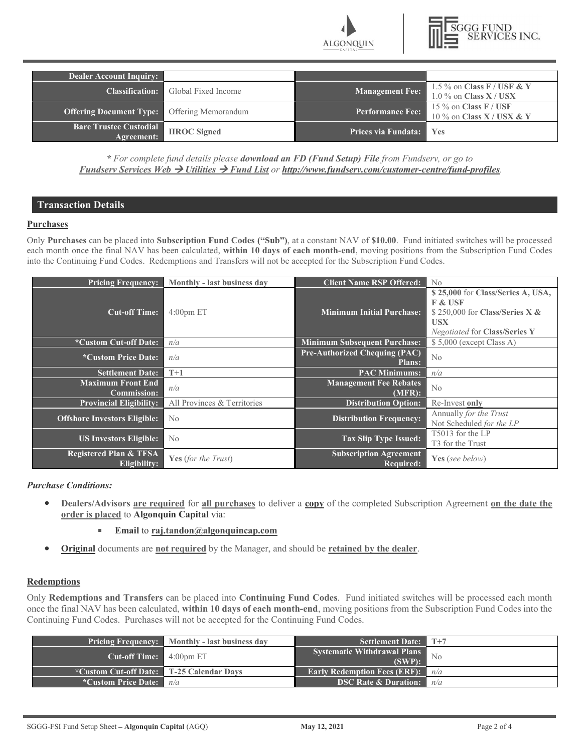

| <b>Dealer Account Inquiry:</b>              |                     |                            |                                                          |
|---------------------------------------------|---------------------|----------------------------|----------------------------------------------------------|
| <b>Classification:</b>                      | Global Fixed Income | <b>Management Fee:</b>     | 1.5 % on Class $F / USF & V$<br>$1.0\%$ on Class X / USX |
| <b>Offering Document Type:</b>              | Offering Memorandum | <b>Performance Fee:</b>    | 15 $\%$ on Class F / USF<br>10 % on Class $X /$ USX & Y  |
| <b>Bare Trustee Custodial</b><br>Agreement: | <b>IIROC</b> Signed | <b>Prices via Fundata:</b> | <b>Yes</b>                                               |

\* For complete fund details please download an FD (Fund Setup) File from Fundserv, or go to Fundserv Services Web  $\rightarrow$  Utilities  $\rightarrow$  Fund List or http://www.fundserv.com/customer-centre/fund-profiles.

# Transaction Details

#### **Purchases**

Only Purchases can be placed into Subscription Fund Codes ("Sub"), at a constant NAV of \$10.00. Fund initiated switches will be processed each month once the final NAV has been calculated, within 10 days of each month-end, moving positions from the Subscription Fund Codes into the Continuing Fund Codes. Redemptions and Transfers will not be accepted for the Subscription Fund Codes.

| <b>Pricing Frequency:</b>         | Monthly - last business day                                                             | <b>Client Name RSP Offered:</b>      | N <sub>0</sub>                       |
|-----------------------------------|-----------------------------------------------------------------------------------------|--------------------------------------|--------------------------------------|
|                                   |                                                                                         |                                      | \$25,000 for Class/Series A, USA,    |
|                                   |                                                                                         |                                      | <b>F &amp; USF</b>                   |
| <b>Cut-off Time:</b>              | $4:00$ pm ET                                                                            | <b>Minimum Initial Purchase:</b>     | \$250,000 for Class/Series X $\&$    |
|                                   |                                                                                         |                                      | <b>USX</b>                           |
|                                   |                                                                                         |                                      | <b>Negotiated for Class/Series Y</b> |
| *Custom Cut-off Date:             | n/a                                                                                     | <b>Minimum Subsequent Purchase:</b>  | \$5,000 (except Class A)             |
| <i>*Custom Price Date:</i>        | n/a                                                                                     | <b>Pre-Authorized Chequing (PAC)</b> | No                                   |
|                                   |                                                                                         | <b>Plans:</b>                        |                                      |
| <b>Settlement Date:</b>           | $T+1$                                                                                   | <b>PAC Minimums:</b>                 | n/a                                  |
| <b>Maximum Front End</b>          | n/a                                                                                     | <b>Management Fee Rebates</b>        | No                                   |
| <b>Commission:</b>                |                                                                                         | (MFR):                               |                                      |
| <b>Provincial Eligibility:</b>    | All Provinces & Territories                                                             | <b>Distribution Option:</b>          | Re-Invest only                       |
|                                   | <b>Distribution Frequency:</b><br><b>Offshore Investors Eligible:</b><br>N <sub>o</sub> |                                      | Annually for the Trust               |
|                                   |                                                                                         |                                      | Not Scheduled for the LP             |
| <b>US Investors Eligible:</b>     | No                                                                                      | <b>Tax Slip Type Issued:</b>         | T5013 for the LP                     |
|                                   |                                                                                         |                                      | T <sub>3</sub> for the Trust         |
| <b>Registered Plan &amp; TFSA</b> | <b>Yes</b> (for the Trust)                                                              | <b>Subscription Agreement</b>        | Yes (see below)                      |
| Eligibility:                      |                                                                                         | <b>Required:</b>                     |                                      |

Purchase Conditions:

Dealers/Advisors are required for all purchases to deliver a copy of the completed Subscription Agreement on the date the  $\bullet$ order is placed to Algonquin Capital via:

## Email to raj.tandon@algonquincap.com

**Original** documents are not required by the Manager, and should be retained by the dealer.

## **Redemptions**

Only Redemptions and Transfers can be placed into Continuing Fund Codes. Fund initiated switches will be processed each month once the final NAV has been calculated, within 10 days of each month-end, moving positions from the Subscription Fund Codes into the Continuing Fund Codes. Purchases will not be accepted for the Continuing Fund Codes.

|                                                 | <b>Pricing Frequency:</b> Monthly - last business day | <b>Settlement Date:</b>                      | $\sqrt{1+7}$ |
|-------------------------------------------------|-------------------------------------------------------|----------------------------------------------|--------------|
| <b>Cut-off Time:</b> $4:00 \text{pm ET}$        |                                                       | <b>Systematic Withdrawal Plans</b><br>(SWP): | - No         |
| <b>*Custom Cut-off Date:</b> T-25 Calendar Days |                                                       | <b>Early Redemption Fees (ERF):</b>          | n/a          |
| *Custom Price Date:                             | n/a                                                   | <b>DSC Rate &amp; Duration:</b>              | n/a          |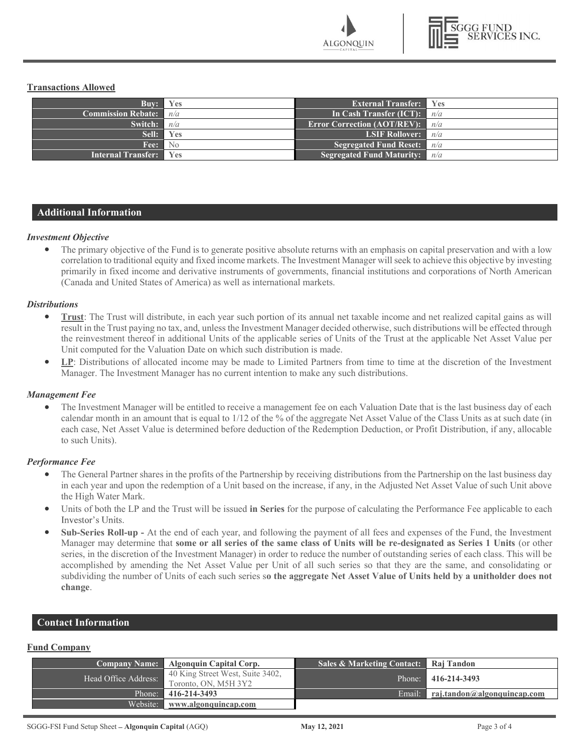**ALGONOUIN** 



## Transactions Allowed

| Buv:                            | <b>Yes</b>        | <b>External Transfer:</b> Yes       |                      |
|---------------------------------|-------------------|-------------------------------------|----------------------|
| <b>Commission Rebate:</b> $n/a$ |                   | In Cash Transfer (ICT):             | n/a                  |
| Switch:                         | n/a               | <b>Error Correction (AOT/REV):</b>  | n/a                  |
| Sell:                           | Yes               | <b>LSIF Rollover:</b>               | $\blacksquare$ $n/a$ |
| Fee:                            | $\blacksquare$ No | <b>Segregated Fund Reset:</b> $n/a$ |                      |
| <b>Internal Transfer:</b> Yes   |                   | <b>Segregated Fund Maturity:</b>    | n/a                  |

## Additional Information

#### Investment Objective

The primary objective of the Fund is to generate positive absolute returns with an emphasis on capital preservation and with a low correlation to traditional equity and fixed income markets. The Investment Manager will seek to achieve this objective by investing primarily in fixed income and derivative instruments of governments, financial institutions and corporations of North American (Canada and United States of America) as well as international markets.

#### **Distributions**

- $\bullet$ Trust: The Trust will distribute, in each year such portion of its annual net taxable income and net realized capital gains as will result in the Trust paying no tax, and, unless the Investment Manager decided otherwise, such distributions will be effected through the reinvestment thereof in additional Units of the applicable series of Units of the Trust at the applicable Net Asset Value per Unit computed for the Valuation Date on which such distribution is made.
- $\bullet$ LP: Distributions of allocated income may be made to Limited Partners from time to time at the discretion of the Investment Manager. The Investment Manager has no current intention to make any such distributions.

#### Management Fee

The Investment Manager will be entitled to receive a management fee on each Valuation Date that is the last business day of each  $\bullet$ calendar month in an amount that is equal to 1/12 of the % of the aggregate Net Asset Value of the Class Units as at such date (in each case, Net Asset Value is determined before deduction of the Redemption Deduction, or Profit Distribution, if any, allocable to such Units).

#### Performance Fee

- The General Partner shares in the profits of the Partnership by receiving distributions from the Partnership on the last business day in each year and upon the redemption of a Unit based on the increase, if any, in the Adjusted Net Asset Value of such Unit above the High Water Mark.
- Units of both the LP and the Trust will be issued in Series for the purpose of calculating the Performance Fee applicable to each Investor's Units.
- Sub-Series Roll-up At the end of each year, and following the payment of all fees and expenses of the Fund, the Investment Manager may determine that some or all series of the same class of Units will be re-designated as Series 1 Units (or other series, in the discretion of the Investment Manager) in order to reduce the number of outstanding series of each class. This will be accomplished by amending the Net Asset Value per Unit of all such series so that they are the same, and consolidating or subdividing the number of Units of each such series so the aggregate Net Asset Value of Units held by a unitholder does not change.

# Contact Information

#### Fund Company

|                      | Company Name: Algonquin Capital Corp.                    | Sales & Marketing Contact: Raj Tandon |                                      |
|----------------------|----------------------------------------------------------|---------------------------------------|--------------------------------------|
| Head Office Address: | 40 King Street West, Suite 3402,<br>Toronto, ON, M5H 3Y2 |                                       | Phone: 416-214-3493                  |
|                      | Phone: 416-214-3493                                      |                                       | Email: $rai.tandon@algonquincap.com$ |
| Website:             | www.algonquincap.com                                     |                                       |                                      |